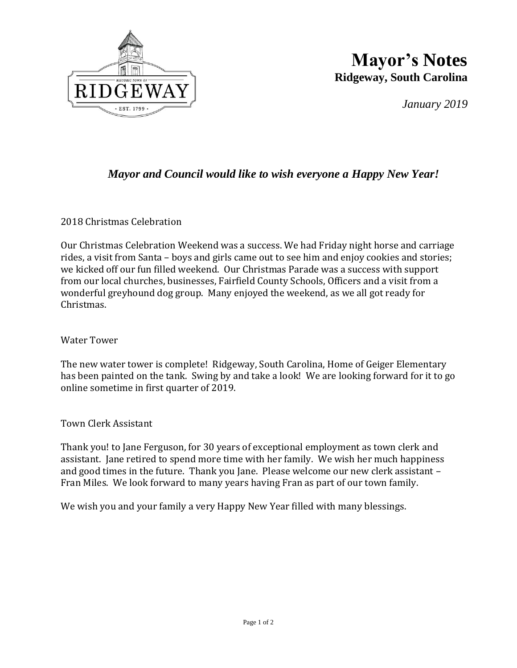

## **Mayor's Notes Ridgeway, South Carolina**

*January 2019*

## *Mayor and Council would like to wish everyone a Happy New Year!*

2018 Christmas Celebration

Our Christmas Celebration Weekend was a success. We had Friday night horse and carriage rides, a visit from Santa – boys and girls came out to see him and enjoy cookies and stories; we kicked off our fun filled weekend. Our Christmas Parade was a success with support from our local churches, businesses, Fairfield County Schools, Officers and a visit from a wonderful greyhound dog group. Many enjoyed the weekend, as we all got ready for Christmas.

## Water Tower

The new water tower is complete! Ridgeway, South Carolina, Home of Geiger Elementary has been painted on the tank. Swing by and take a look! We are looking forward for it to go online sometime in first quarter of 2019.

Town Clerk Assistant

Thank you! to Jane Ferguson, for 30 years of exceptional employment as town clerk and assistant. Jane retired to spend more time with her family. We wish her much happiness and good times in the future. Thank you Jane. Please welcome our new clerk assistant – Fran Miles. We look forward to many years having Fran as part of our town family.

We wish you and your family a very Happy New Year filled with many blessings.